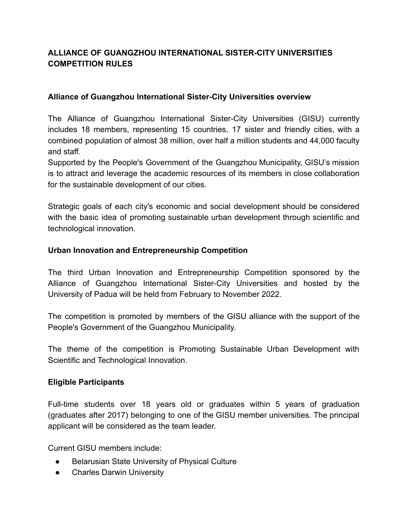# **ALLIANCE OF GUANGZHOU INTERNATIONAL SISTER-CITY UNIVERSITIES COMPETITION RULES**

# **Alliance of Guangzhou International Sister-City Universities overview**

The Alliance of Guangzhou International Sister-City Universities (GISU) currently includes 18 members, representing 15 countries, 17 sister and friendly cities, with a combined population of almost 38 million, over half a million students and 44,000 faculty and staff.

Supported by the People's Government of the Guangzhou Municipality, GISU's mission is to attract and leverage the academic resources of its members in close collaboration for the sustainable development of our cities.

Strategic goals of each city's economic and social development should be considered with the basic idea of promoting sustainable urban development through scientific and technological innovation.

# **Urban Innovation and Entrepreneurship Competition**

The third Urban Innovation and Entrepreneurship Competition sponsored by the Alliance of Guangzhou International Sister-City Universities and hosted by the University of Padua will be held from February to November 2022.

The competition is promoted by members of the GISU alliance with the support of the People's Government of the Guangzhou Municipality.

The theme of the competition is Promoting Sustainable Urban Development with Scientific and Technological Innovation.

# **Eligible Participants**

Full-time students over 18 years old or graduates within 5 years of graduation (graduates after 2017) belonging to one of the GISU member universities. The principal applicant will be considered as the team leader.

Current GISU members include:

- Belarusian State University of Physical Culture
- **•** Charles Darwin University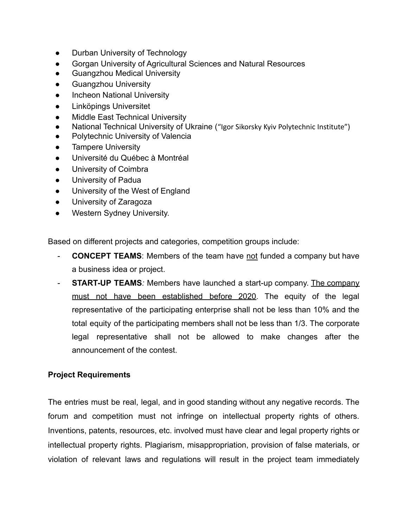- Durban University of Technology
- Gorgan University of Agricultural Sciences and Natural Resources
- **Guangzhou Medical University**
- **Guangzhou University**
- **Incheon National University**
- Linköpings Universitet
- **Middle East Technical University**
- National Technical University of Ukraine ("Igor Sikorsky Kyiv Polytechnic Institute")
- Polytechnic University of Valencia
- **•** Tampere University
- Université du Québec à Montréal
- University of Coimbra
- University of Padua
- University of the West of England
- University of Zaragoza
- Western Sydney University.

Based on different projects and categories, competition groups include:

- **CONCEPT TEAMS:** Members of the team have not funded a company but have a business idea or project.
- *-* **START-UP TEAMS***:* Members have launched a start-up company. The company must not have been established before 2020. The equity of the legal representative of the participating enterprise shall not be less than 10% and the total equity of the participating members shall not be less than 1/3. The corporate legal representative shall not be allowed to make changes after the announcement of the contest.

# **Project Requirements**

The entries must be real, legal, and in good standing without any negative records. The forum and competition must not infringe on intellectual property rights of others. Inventions, patents, resources, etc. involved must have clear and legal property rights or intellectual property rights. Plagiarism, misappropriation, provision of false materials, or violation of relevant laws and regulations will result in the project team immediately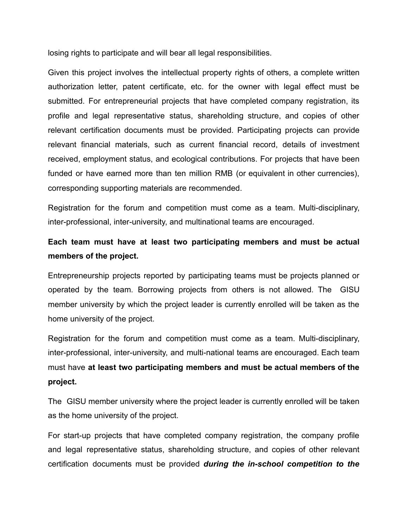losing rights to participate and will bear all legal responsibilities.

Given this project involves the intellectual property rights of others, a complete written authorization letter, patent certificate, etc. for the owner with legal effect must be submitted. For entrepreneurial projects that have completed company registration, its profile and legal representative status, shareholding structure, and copies of other relevant certification documents must be provided. Participating projects can provide relevant financial materials, such as current financial record, details of investment received, employment status, and ecological contributions. For projects that have been funded or have earned more than ten million RMB (or equivalent in other currencies), corresponding supporting materials are recommended.

Registration for the forum and competition must come as a team. Multi-disciplinary, inter-professional, inter-university, and multinational teams are encouraged.

# **Each team must have at least two participating members and must be actual members of the project.**

Entrepreneurship projects reported by participating teams must be projects planned or operated by the team. Borrowing projects from others is not allowed. The GISU member university by which the project leader is currently enrolled will be taken as the home university of the project.

Registration for the forum and competition must come as a team. Multi-disciplinary, inter-professional, inter-university, and multi-national teams are encouraged. Each team must have **at least two participating members and must be actual members of the project.**

The GISU member university where the project leader is currently enrolled will be taken as the home university of the project.

For start-up projects that have completed company registration, the company profile and legal representative status, shareholding structure, and copies of other relevant certification documents must be provided *during the in-school competition to the*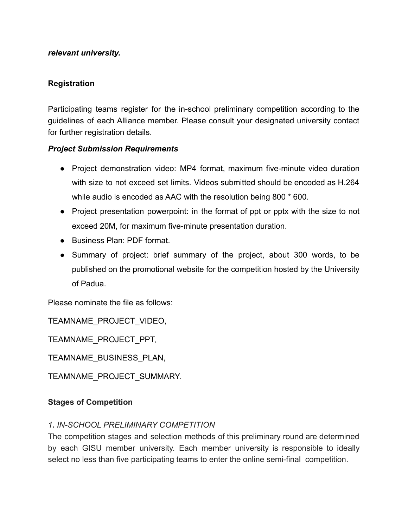### *relevant university.*

# **Registration**

Participating teams register for the in-school preliminary competition according to the guidelines of each Alliance member. Please consult your designated university contact for further registration details.

# *Project Submission Requirements*

- Project demonstration video: MP4 format, maximum five-minute video duration with size to not exceed set limits. Videos submitted should be encoded as H.264 while audio is encoded as AAC with the resolution being 800 \* 600.
- Project presentation powerpoint: in the format of ppt or pptx with the size to not exceed 20M, for maximum five-minute presentation duration.
- Business Plan: PDF format
- Summary of project: brief summary of the project, about 300 words, to be published on the promotional website for the competition hosted by the University of Padua.

Please nominate the file as follows:

TEAMNAME\_PROJECT\_VIDEO,

TEAMNAME\_PROJECT\_PPT,

TEAMNAME\_BUSINESS\_PLAN,

TEAMNAME\_PROJECT\_SUMMARY.

### **Stages of Competition**

# *1. IN-SCHOOL PRELIMINARY COMPETITION*

The competition stages and selection methods of this preliminary round are determined by each GISU member university. Each member university is responsible to ideally select no less than five participating teams to enter the online semi-final competition.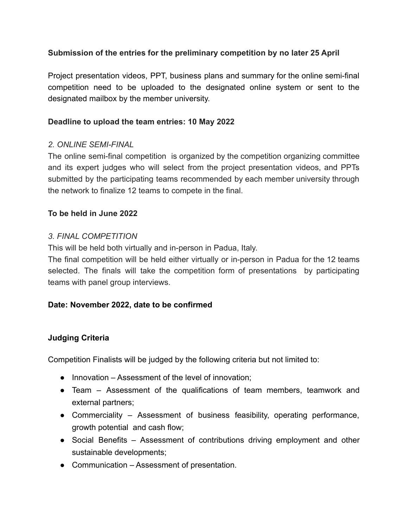# **Submission of the entries for the preliminary competition by no later 25 April**

Project presentation videos, PPT, business plans and summary for the online semi-final competition need to be uploaded to the designated online system or sent to the designated mailbox by the member university.

# **Deadline to upload the team entries: 10 May 2022**

# *2. ONLINE SEMI-FINAL*

The online semi-final competition is organized by the competition organizing committee and its expert judges who will select from the project presentation videos, and PPTs submitted by the participating teams recommended by each member university through the network to finalize 12 teams to compete in the final.

# **To be held in June 2022**

# *3. FINAL COMPETITION*

This will be held both virtually and in-person in Padua, Italy.

The final competition will be held either virtually or in-person in Padua for the 12 teams selected. The finals will take the competition form of presentations by participating teams with panel group interviews.

### **Date: November 2022, date to be confirmed**

### **Judging Criteria**

Competition Finalists will be judged by the following criteria but not limited to:

- Innovation Assessment of the level of innovation;
- Team Assessment of the qualifications of team members, teamwork and external partners;
- Commerciality Assessment of business feasibility, operating performance, growth potential and cash flow;
- Social Benefits Assessment of contributions driving employment and other sustainable developments;
- Communication Assessment of presentation.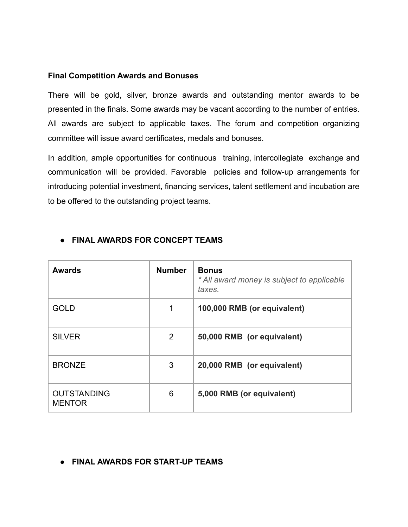#### **Final Competition Awards and Bonuses**

There will be gold, silver, bronze awards and outstanding mentor awards to be presented in the finals. Some awards may be vacant according to the number of entries. All awards are subject to applicable taxes. The forum and competition organizing committee will issue award certificates, medals and bonuses.

In addition, ample opportunities for continuous training, intercollegiate exchange and communication will be provided. Favorable policies and follow-up arrangements for introducing potential investment, financing services, talent settlement and incubation are to be offered to the outstanding project teams.

| <b>Awards</b>                       | <b>Number</b> | <b>Bonus</b><br>* All award money is subject to applicable<br>taxes. |
|-------------------------------------|---------------|----------------------------------------------------------------------|
| <b>GOLD</b>                         | 1             | 100,000 RMB (or equivalent)                                          |
| <b>SILVER</b>                       | 2             | 50,000 RMB (or equivalent)                                           |
| <b>BRONZE</b>                       | 3             | 20,000 RMB (or equivalent)                                           |
| <b>OUTSTANDING</b><br><b>MENTOR</b> | 6             | 5,000 RMB (or equivalent)                                            |

### **● FINAL AWARDS FOR CONCEPT TEAMS**

**● FINAL AWARDS FOR START-UP TEAMS**